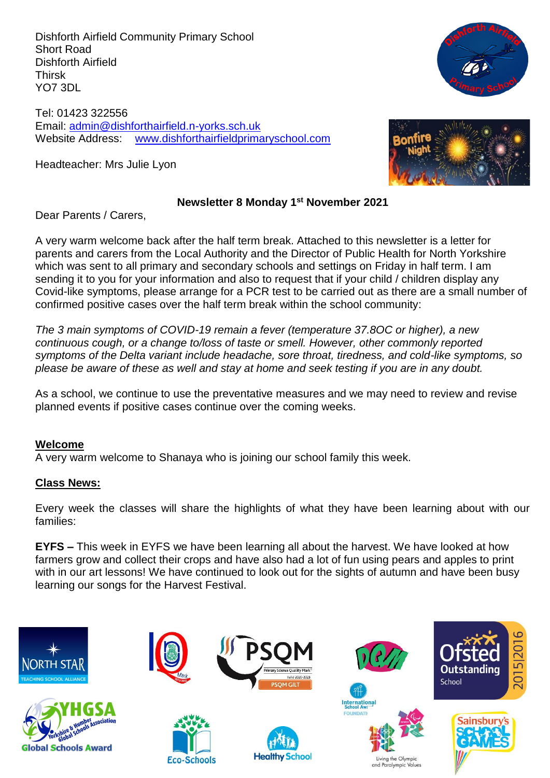Dishforth Airfield Community Primary School Short Road Dishforth Airfield Thirsk YO7 3DL

Tel: 01423 322556 Email: [admin@dishforthairfield.n-yorks.sch.uk](mailto:admin@dishforthairfield.n-yorks.sch.uk) Website Address: [www.dishforthairfieldprimaryschool.com](http://www.dishforthairfieldprimaryschool.com/)

Headteacher: Mrs Julie Lyon



### **Newsletter 8 Monday 1 st November 2021**

Dear Parents / Carers,

A very warm welcome back after the half term break. Attached to this newsletter is a letter for parents and carers from the Local Authority and the Director of Public Health for North Yorkshire which was sent to all primary and secondary schools and settings on Friday in half term. I am sending it to you for your information and also to request that if your child / children display any Covid-like symptoms, please arrange for a PCR test to be carried out as there are a small number of confirmed positive cases over the half term break within the school community:

*The 3 main symptoms of COVID-19 remain a fever (temperature 37.8OC or higher), a new continuous cough, or a change to/loss of taste or smell. However, other commonly reported symptoms of the Delta variant include headache, sore throat, tiredness, and cold-like symptoms, so please be aware of these as well and stay at home and seek testing if you are in any doubt.*

As a school, we continue to use the preventative measures and we may need to review and revise planned events if positive cases continue over the coming weeks.

## **Welcome**

A very warm welcome to Shanaya who is joining our school family this week.

## **Class News:**

Every week the classes will share the highlights of what they have been learning about with our families:

**EYFS –** This week in EYFS we have been learning all about the harvest. We have looked at how farmers grow and collect their crops and have also had a lot of fun using pears and apples to print with in our art lessons! We have continued to look out for the sights of autumn and have been busy learning our songs for the Harvest Festival.

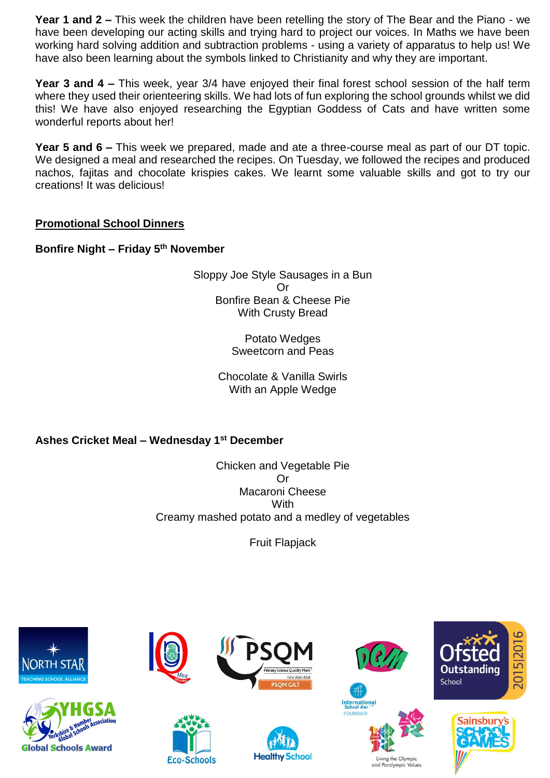**Year 1 and 2 –** This week the children have been retelling the story of The Bear and the Piano - we have been developing our acting skills and trying hard to project our voices. In Maths we have been working hard solving addition and subtraction problems - using a variety of apparatus to help us! We have also been learning about the symbols linked to Christianity and why they are important.

**Year 3 and 4 –** This week, year 3/4 have enjoyed their final forest school session of the half term where they used their orienteering skills. We had lots of fun exploring the school grounds whilst we did this! We have also enjoyed researching the Egyptian Goddess of Cats and have written some wonderful reports about her!

**Year 5 and 6 –** This week we prepared, made and ate a three-course meal as part of our DT topic. We designed a meal and researched the recipes. On Tuesday, we followed the recipes and produced nachos, fajitas and chocolate krispies cakes. We learnt some valuable skills and got to try our creations! It was delicious!

# **Promotional School Dinners**

**Bonfire Night – Friday 5th November**

Sloppy Joe Style Sausages in a Bun Or Bonfire Bean & Cheese Pie With Crusty Bread

> Potato Wedges Sweetcorn and Peas

Chocolate & Vanilla Swirls With an Apple Wedge

**Ashes Cricket Meal – Wednesday 1st December**

Chicken and Vegetable Pie Or Macaroni Cheese **With** Creamy mashed potato and a medley of vegetables

Fruit Flapjack



and Paralympic Values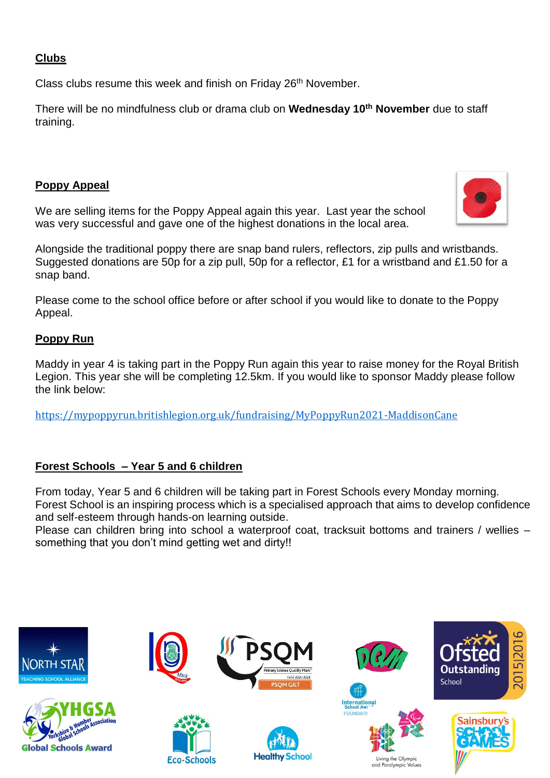## **Clubs**

Class clubs resume this week and finish on Friday 26<sup>th</sup> November.

There will be no mindfulness club or drama club on **Wednesday 10th November** due to staff training.

# **Poppy Appeal**

We are selling items for the Poppy Appeal again this year. Last year the school was very successful and gave one of the highest donations in the local area.

Alongside the traditional poppy there are snap band rulers, reflectors, zip pulls and wristbands. Suggested donations are 50p for a zip pull, 50p for a reflector, £1 for a wristband and £1.50 for a snap band.

Please come to the school office before or after school if you would like to donate to the Poppy Appeal.

# **Poppy Run**

Maddy in year 4 is taking part in the Poppy Run again this year to raise money for the Royal British Legion. This year she will be completing 12.5km. If you would like to sponsor Maddy please follow the link below:

<https://mypoppyrun.britishlegion.org.uk/fundraising/MyPoppyRun2021-MaddisonCane>

## **Forest Schools – Year 5 and 6 children**

From today, Year 5 and 6 children will be taking part in Forest Schools every Monday morning. Forest School is an inspiring process which is a specialised approach that aims to develop confidence and self-esteem through hands-on learning outside.

Please can children bring into school a waterproof coat, tracksuit bottoms and trainers / wellies – something that you don't mind getting wet and dirty!!



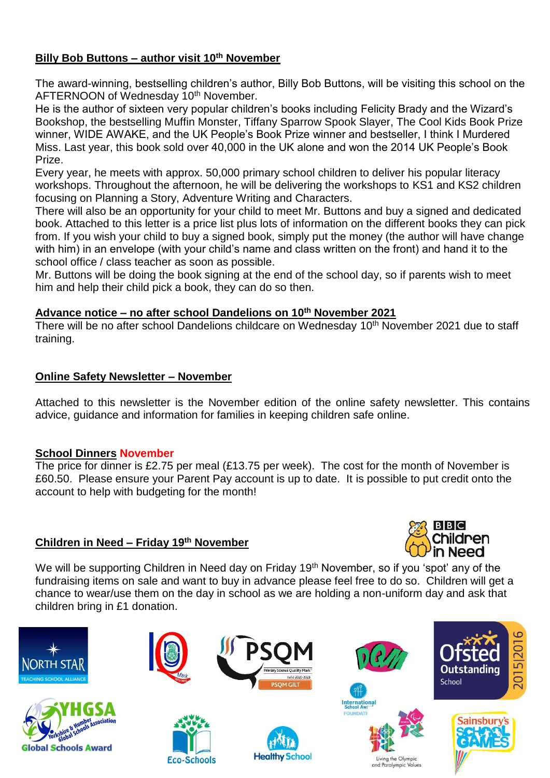# **Billy Bob Buttons – author visit 10th November**

The award-winning, bestselling children's author, Billy Bob Buttons, will be visiting this school on the AFTERNOON of Wednesday 10<sup>th</sup> November.

He is the author of sixteen very popular children's books including Felicity Brady and the Wizard's Bookshop, the bestselling Muffin Monster, Tiffany Sparrow Spook Slayer, The Cool Kids Book Prize winner, WIDE AWAKE, and the UK People's Book Prize winner and bestseller, I think I Murdered Miss. Last year, this book sold over 40,000 in the UK alone and won the 2014 UK People's Book Prize.

Every year, he meets with approx. 50,000 primary school children to deliver his popular literacy workshops. Throughout the afternoon, he will be delivering the workshops to KS1 and KS2 children focusing on Planning a Story, Adventure Writing and Characters.

There will also be an opportunity for your child to meet Mr. Buttons and buy a signed and dedicated book. Attached to this letter is a price list plus lots of information on the different books they can pick from. If you wish your child to buy a signed book, simply put the money (the author will have change with him) in an envelope (with your child's name and class written on the front) and hand it to the school office / class teacher as soon as possible.

Mr. Buttons will be doing the book signing at the end of the school day, so if parents wish to meet him and help their child pick a book, they can do so then.

### **Advance notice – no after school Dandelions on 10 th November 2021**

There will be no after school Dandelions childcare on Wednesday 10<sup>th</sup> November 2021 due to staff training.

## **Online Safety Newsletter – November**

Attached to this newsletter is the November edition of the online safety newsletter. This contains advice, guidance and information for families in keeping children safe online.

## **School Dinners November**

The price for dinner is £2.75 per meal (£13.75 per week). The cost for the month of November is £60.50. Please ensure your Parent Pay account is up to date. It is possible to put credit onto the account to help with budgeting for the month!

# **Children in Need – Friday 19 th November**



We will be supporting Children in Need day on Friday 19<sup>th</sup> November, so if you 'spot' any of the fundraising items on sale and want to buy in advance please feel free to do so. Children will get a chance to wear/use them on the day in school as we are holding a non-uniform day and ask that children bring in £1 donation.







**Eco-Schools** 









Living the Olympic and Paralympic



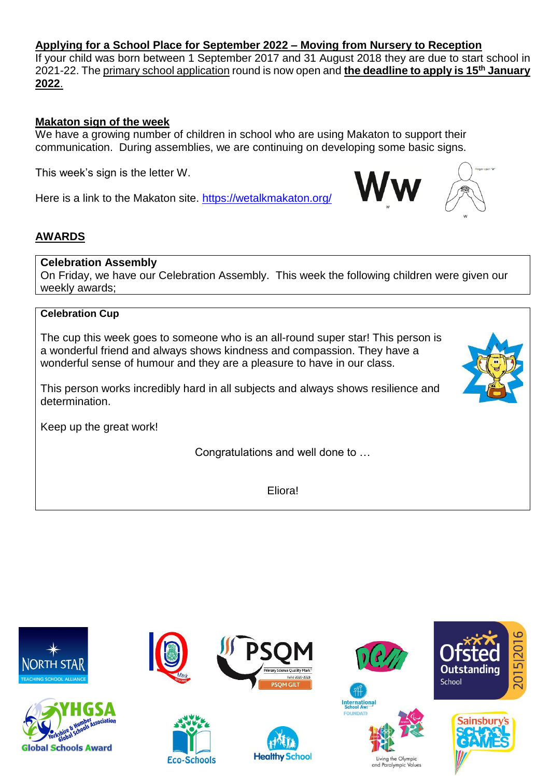## **Applying for a School Place for September 2022 – Moving from Nursery to Reception**

If your child was born between 1 September 2017 and 31 August 2018 they are due to start school in 2021-22. Th[e primary school application](https://www.northyorks.gov.uk/applying-place-primary-school) round is now open and **the deadline to apply is 15th January 2022**.

## **Makaton sign of the week**

We have a growing number of children in school who are using Makaton to support their communication. During assemblies, we are continuing on developing some basic signs.

This week's sign is the letter W.

Here is a link to the Makaton site.<https://wetalkmakaton.org/>

# **AWARDS**

## **Celebration Assembly**

On Friday, we have our Celebration Assembly. This week the following children were given our weekly awards;

# **Celebration Cup**

The cup this week goes to someone who is an all-round super star! This person is a wonderful friend and always shows kindness and compassion. They have a wonderful sense of humour and they are a pleasure to have in our class.

This person works incredibly hard in all subjects and always shows resilience and determination.

Keep up the great work!

Congratulations and well done to …

Eliora!





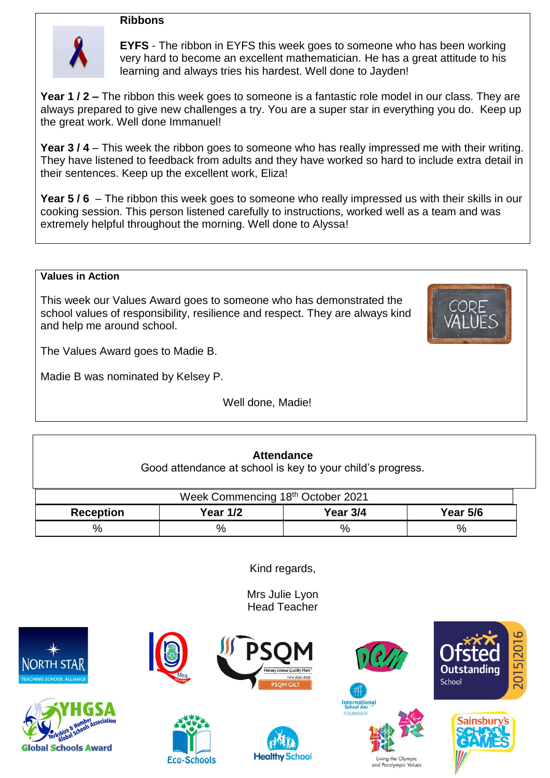### **Ribbons**



**EYFS** - The ribbon in EYFS this week goes to someone who has been working very hard to become an excellent mathematician. He has a great attitude to his learning and always tries his hardest. Well done to Jayden!

**Year 1 / 2 –** The ribbon this week goes to someone is a fantastic role model in our class. They are always prepared to give new challenges a try. You are a super star in everything you do. Keep up the great work. Well done Immanuel!

**Year 3 / 4** – This week the ribbon goes to someone who has really impressed me with their writing. They have listened to feedback from adults and they have worked so hard to include extra detail in their sentences. Keep up the excellent work, Eliza!

**Year 5 / 6** – The ribbon this week goes to someone who really impressed us with their skills in our cooking session. This person listened carefully to instructions, worked well as a team and was extremely helpful throughout the morning. Well done to Alyssa!

#### **Values in Action**

This week our Values Award goes to someone who has demonstrated the school values of responsibility, resilience and respect. They are always kind and help me around school.



The Values Award goes to Madie B.

Madie B was nominated by Kelsey P.

Well done, Madie!

## **Attendance**

Good attendance at school is key to your child's progress.

| Week Commencing 18th October 2021 |          |          |                 |  |  |  |
|-----------------------------------|----------|----------|-----------------|--|--|--|
| <b>Reception</b>                  | Year 1/2 | Year 3/4 | <b>Year 5/6</b> |  |  |  |
| ℅                                 | %        | %        | %               |  |  |  |

Kind regards,

Mrs Julie Lyon Head Teacher







**Eco-Schools** 







ng the Olympic and Paralympic